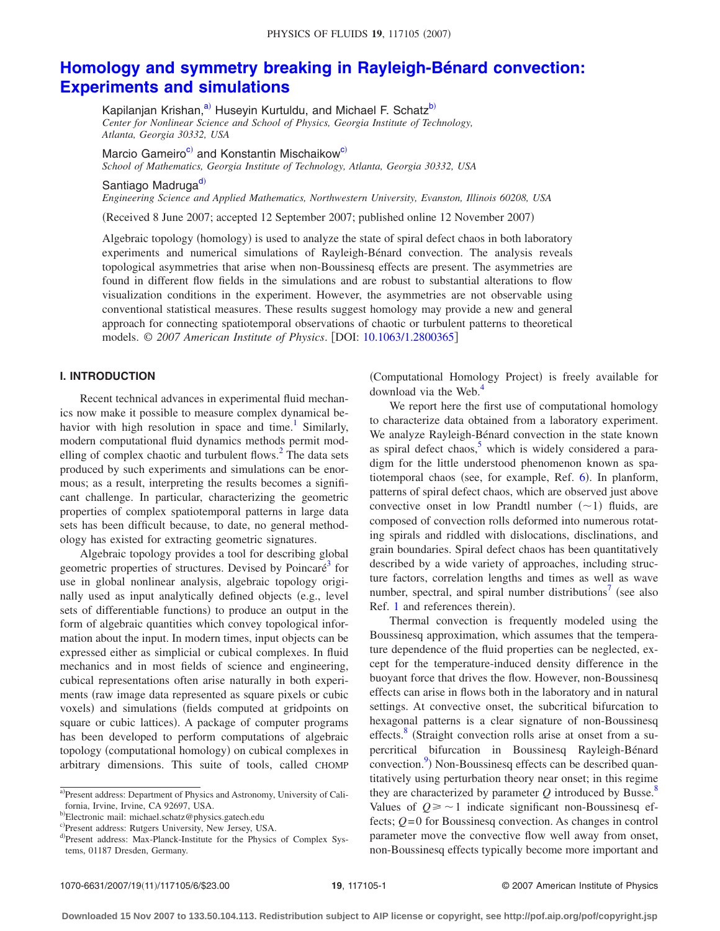# **[Homology and symmetry breaking in Rayleigh-Bénard convection:](http://dx.doi.org/10.1063/1.2800365) [Experiments and simulations](http://dx.doi.org/10.1063/1.2800365)**

Kapilanjan Krishan,<sup>a)</sup> Huseyin Kurtuldu, and Michael F. Schatz<sup>b)</sup> *Center for Nonlinear Science and School of Physics, Georgia Institute of Technology, Atlanta, Georgia 30332, USA*

Marcio Gameiro<sup>c)</sup> and Konstantin Mischaikow<sup>c)</sup>

*School of Mathematics, Georgia Institute of Technology, Atlanta, Georgia 30332, USA*

Santiago M[ad](#page-0-3)ruga<sup>d)</sup>

*Engineering Science and Applied Mathematics, Northwestern University, Evanston, Illinois 60208, USA*

Received 8 June 2007; accepted 12 September 2007; published online 12 November 2007-

Algebraic topology (homology) is used to analyze the state of spiral defect chaos in both laboratory experiments and numerical simulations of Rayleigh-Bénard convection. The analysis reveals topological asymmetries that arise when non-Boussinesq effects are present. The asymmetries are found in different flow fields in the simulations and are robust to substantial alterations to flow visualization conditions in the experiment. However, the asymmetries are not observable using conventional statistical measures. These results suggest homology may provide a new and general approach for connecting spatiotemporal observations of chaotic or turbulent patterns to theoretical models. © *2007 American Institute of Physics*. DOI: [10.1063/1.2800365](http://dx.doi.org/10.1063/1.2800365)

# **I. INTRODUCTION**

Recent technical advances in experimental fluid mechanics now make it possible to measure complex dynamical behavior with high resolution in space and time.<sup>1</sup> Similarly, modern computational fluid dynamics methods permit modelling of complex chaotic and turbulent flows. $<sup>2</sup>$  The data sets</sup> produced by such experiments and simulations can be enormous; as a result, interpreting the results becomes a significant challenge. In particular, characterizing the geometric properties of complex spatiotemporal patterns in large data sets has been difficult because, to date, no general methodology has existed for extracting geometric signatures.

Algebraic topology provides a tool for describing global geometric properties of structures. Devised by Poincaré<sup>3</sup> for use in global nonlinear analysis, algebraic topology originally used as input analytically defined objects (e.g., level sets of differentiable functions) to produce an output in the form of algebraic quantities which convey topological information about the input. In modern times, input objects can be expressed either as simplicial or cubical complexes. In fluid mechanics and in most fields of science and engineering, cubical representations often arise naturally in both experiments (raw image data represented as square pixels or cubic voxels) and simulations (fields computed at gridpoints on square or cubic lattices). A package of computer programs has been developed to perform computations of algebraic topology (computational homology) on cubical complexes in arbitrary dimensions. This suite of tools, called CHOMP

(Computational Homology Project) is freely available for download via the Web.<sup>4</sup>

We report here the first use of computational homology to characterize data obtained from a laboratory experiment. We analyze Rayleigh-Bénard convection in the state known as spiral defect chaos, $\frac{5}{3}$  which is widely considered a paradigm for the little understood phenomenon known as spa-tiotemporal chaos (see, for example, Ref. [6](#page-4-5)). In planform, patterns of spiral defect chaos, which are observed just above convective onset in low Prandtl number  $(-1)$  fluids, are composed of convection rolls deformed into numerous rotating spirals and riddled with dislocations, disclinations, and grain boundaries. Spiral defect chaos has been quantitatively described by a wide variety of approaches, including structure factors, correlation lengths and times as well as wave number, spectral, and spiral number distributions<sup>7</sup> (see also Ref. [1](#page-4-0) and references therein).

Thermal convection is frequently modeled using the Boussinesq approximation, which assumes that the temperature dependence of the fluid properties can be neglected, except for the temperature-induced density difference in the buoyant force that drives the flow. However, non-Boussinesq effects can arise in flows both in the laboratory and in natural settings. At convective onset, the subcritical bifurcation to hexagonal patterns is a clear signature of non-Boussinesq effects. $\frac{8}{3}$  (Straight convection rolls arise at onset from a supercritical bifurcation in Boussinesq Rayleigh-Bénard convection.<sup>9</sup>) Non-Boussinesq effects can be described quantitatively using perturbation theory near onset; in this regime they are characterized by parameter  $Q$  introduced by Busse.<sup>8</sup> Values of  $Q \geq 1$  indicate significant non-Boussinesq effects; *Q*=0 for Boussinesq convection. As changes in control parameter move the convective flow well away from onset, non-Boussinesq effects typically become more important and

<span id="page-0-0"></span>a)Present address: Department of Physics and Astronomy, University of California, Irvine, Irvine, CA 92697, USA.

<span id="page-0-1"></span><sup>&</sup>lt;sup>b)</sup>Electronic mail: michael.schatz@physics.gatech.edu

<span id="page-0-2"></span>c)Present address: Rutgers University, New Jersey, USA.

<span id="page-0-3"></span>d)Present address: Max-Planck-Institute for the Physics of Complex Systems, 01187 Dresden, Germany.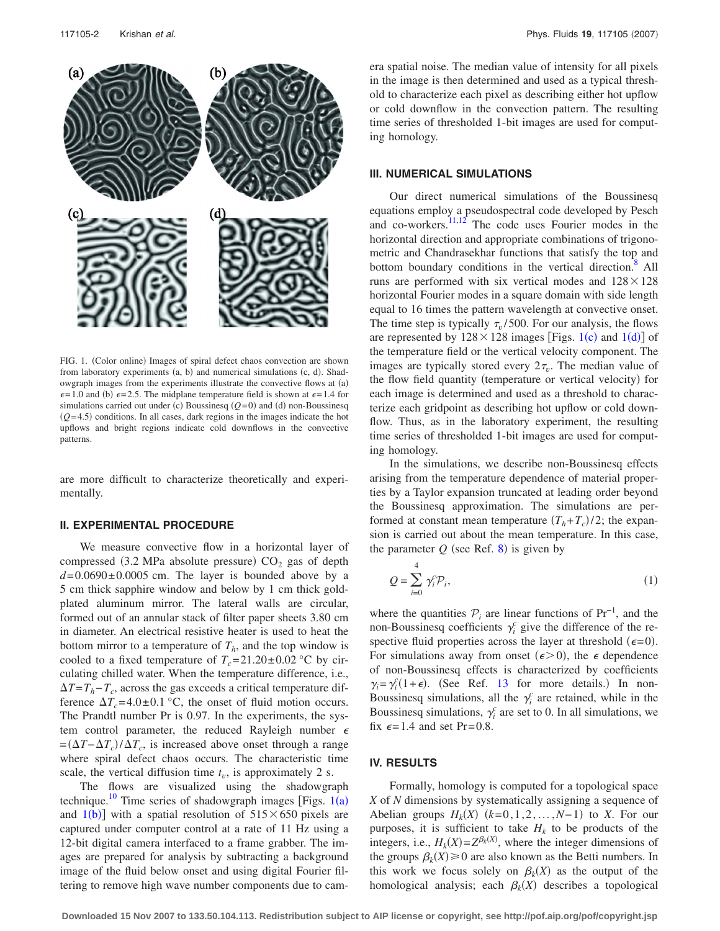<span id="page-1-0"></span>

FIG. 1. (Color online) Images of spiral defect chaos convection are shown from laboratory experiments (a, b) and numerical simulations (c, d). Shadowgraph images from the experiments illustrate the convective flows at (a)  $\epsilon$ =1.0 and (b)  $\epsilon$ =2.5. The midplane temperature field is shown at  $\epsilon$ =1.4 for simulations carried out under (c) Boussinesq  $(Q=0)$  and (d) non-Boussinesq  $(Q=4.5)$  conditions. In all cases, dark regions in the images indicate the hot upflows and bright regions indicate cold downflows in the convective patterns.

are more difficult to characterize theoretically and experimentally.

#### **II. EXPERIMENTAL PROCEDURE**

We measure convective flow in a horizontal layer of compressed (3.2 MPa absolute pressure)  $CO<sub>2</sub>$  gas of depth  $d=0.0690\pm0.0005$  cm. The layer is bounded above by a 5 cm thick sapphire window and below by 1 cm thick goldplated aluminum mirror. The lateral walls are circular, formed out of an annular stack of filter paper sheets 3.80 cm in diameter. An electrical resistive heater is used to heat the bottom mirror to a temperature of  $T<sub>h</sub>$ , and the top window is cooled to a fixed temperature of  $T_c = 21.20 \pm 0.02$  °C by circulating chilled water. When the temperature difference, i.e., -*T*=*Th*−*Tc*, across the gas exceeds a critical temperature difference  $\Delta T_c = 4.0 \pm 0.1$  °C, the onset of fluid motion occurs. The Prandtl number Pr is 0.97. In the experiments, the system control parameter, the reduced Rayleigh number  $\epsilon$  $=(\Delta T - \Delta T_c)/\Delta T_c$ , is increased above onset through a range where spiral defect chaos occurs. The characteristic time scale, the vertical diffusion time  $t<sub>v</sub>$ , is approximately 2 s.

The flows are visualized using the shadowgraph technique.<sup>[1](#page-1-0)0</sup> Time series of shadowgraph images [Figs.  $1(a)$ and  $1(b)$  $1(b)$ ] with a spatial resolution of  $515 \times 650$  pixels are captured under computer control at a rate of 11 Hz using a 12-bit digital camera interfaced to a frame grabber. The images are prepared for analysis by subtracting a background image of the fluid below onset and using digital Fourier filtering to remove high wave number components due to camera spatial noise. The median value of intensity for all pixels in the image is then determined and used as a typical threshold to characterize each pixel as describing either hot upflow or cold downflow in the convection pattern. The resulting time series of thresholded 1-bit images are used for computing homology.

## **III. NUMERICAL SIMULATIONS**

Our direct numerical simulations of the Boussinesq equations employ a pseudospectral code developed by Pesch and co-workers. $\frac{11,12}{1}$  $\frac{11,12}{1}$  $\frac{11,12}{1}$  The code uses Fourier modes in the horizontal direction and appropriate combinations of trigonometric and Chandrasekhar functions that satisfy the top and bottom boundary conditions in the vertical direction.<sup>8</sup> All runs are performed with six vertical modes and  $128 \times 128$ horizontal Fourier modes in a square domain with side length equal to 16 times the pattern wavelength at convective onset. The time step is typically  $\tau_v/500$ . For our analysis, the flows are represented by  $128 \times 128$  $128 \times 128$  images [Figs. 1(c) and 1(d)] of the temperature field or the vertical velocity component. The images are typically stored every  $2\tau_{\nu}$ . The median value of the flow field quantity (temperature or vertical velocity) for each image is determined and used as a threshold to characterize each gridpoint as describing hot upflow or cold downflow. Thus, as in the laboratory experiment, the resulting time series of thresholded 1-bit images are used for computing homology.

In the simulations, we describe non-Boussinesq effects arising from the temperature dependence of material properties by a Taylor expansion truncated at leading order beyond the Boussinesq approximation. The simulations are performed at constant mean temperature  $(T_h + T_c)/2$ ; the expansion is carried out about the mean temperature. In this case, the parameter  $Q$  (see Ref. [8](#page-4-7)) is given by

$$
Q = \sum_{i=0}^{4} \gamma_i^c \mathcal{P}_i, \tag{1}
$$

where the quantities  $\mathcal{P}_i$  are linear functions of Pr<sup>-1</sup>, and the non-Boussinesq coefficients  $\gamma_i^c$  give the difference of the respective fluid properties across the layer at threshold  $(\epsilon = 0)$ . For simulations away from onset ( $\epsilon > 0$ ), the  $\epsilon$  dependence of non-Boussinesq effects is characterized by coefficients  $\gamma_i = \gamma_i^c (1 + \epsilon)$ . (See Ref. [13](#page-5-3) for more details.) In non-Boussinesq simulations, all the  $\gamma_i^c$  are retained, while in the Boussinesq simulations,  $\gamma_i^c$  are set to 0. In all simulations, we fix  $\epsilon = 1.4$  and set Pr=0.8.

## **IV. RESULTS**

Formally, homology is computed for a topological space *X* of *N* dimensions by systematically assigning a sequence of Abelian groups  $H_k(X)$   $(k=0,1,2,\ldots,N-1)$  to *X*. For our purposes, it is sufficient to take  $H_k$  to be products of the integers, i.e.,  $H_k(X) = Z^{\beta_k(X)}$ , where the integer dimensions of the groups  $\beta_k(X) \geq 0$  are also known as the Betti numbers. In this work we focus solely on  $\beta_k(X)$  as the output of the homological analysis; each  $\beta_k(X)$  describes a topological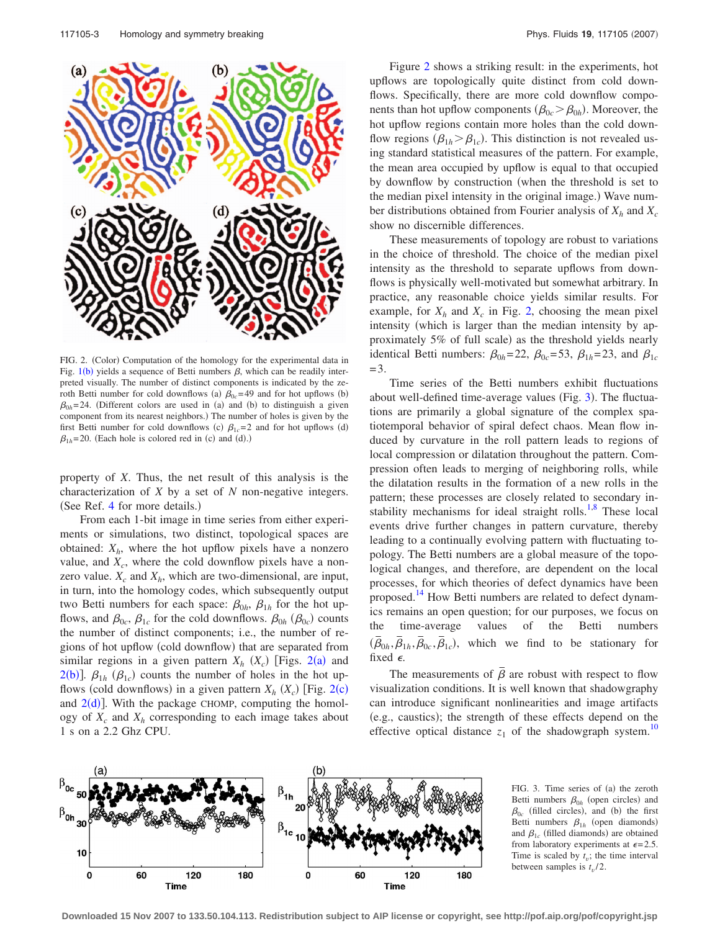<span id="page-2-0"></span>

FIG. 2. (Color) Computation of the homology for the experimental data in Fig.  $1(b)$  $1(b)$  yields a sequence of Betti numbers  $\beta$ , which can be readily interpreted visually. The number of distinct components is indicated by the zeroth Betti number for cold downflows (a)  $\beta_{0c}$ =49 and for hot upflows (b)  $\beta_{0h}$ =24. (Different colors are used in (a) and (b) to distinguish a given component from its nearest neighbors.) The number of holes is given by the first Betti number for cold downflows (c)  $\beta_{1c}=2$  and for hot upflows (d)  $\beta_{1h}$ =20. (Each hole is colored red in (c) and (d).)

property of *X*. Thus, the net result of this analysis is the characterization of *X* by a set of *N* non-negative integers. (See Ref. [4](#page-4-3) for more details.)

From each 1-bit image in time series from either experiments or simulations, two distinct, topological spaces are obtained:  $X_h$ , where the hot upflow pixels have a nonzero value, and  $X_c$ , where the cold downflow pixels have a nonzero value.  $X_c$  and  $X_h$ , which are two-dimensional, are input, in turn, into the homology codes, which subsequently output two Betti numbers for each space:  $\beta_{0h}$ ,  $\beta_{1h}$  for the hot upflows, and  $\beta_{0c}$ ,  $\beta_{1c}$  for the cold downflows.  $\beta_{0h}$  ( $\beta_{0c}$ ) counts the number of distinct components; i.e., the number of regions of hot upflow (cold downflow) that are separated from similar regions in a given pattern  $X_h$   $(X_c)$  [Figs. [2](#page-2-0)(a) and  $2(b)$  $2(b)$ ].  $\beta_{1h}$  ( $\beta_{1c}$ ) counts the number of holes in the hot upflows (cold downflows) in a given pattern  $X_h$   $(X_c)$  [Fig. [2](#page-2-0)(c) and  $2(d)$  $2(d)$ ]. With the package CHOMP, computing the homology of  $X_c$  and  $X_h$  corresponding to each image takes about 1 s on a 2.2 Ghz CPU.

Figure [2](#page-2-0) shows a striking result: in the experiments, hot upflows are topologically quite distinct from cold downflows. Specifically, there are more cold downflow components than hot upflow components ( $\beta_{0c} > \beta_{0h}$ ). Moreover, the hot upflow regions contain more holes than the cold downflow regions  $(\beta_{1h} > \beta_{1c})$ . This distinction is not revealed using standard statistical measures of the pattern. For example, the mean area occupied by upflow is equal to that occupied by downflow by construction (when the threshold is set to the median pixel intensity in the original image.) Wave number distributions obtained from Fourier analysis of  $X_h$  and  $X_c$ show no discernible differences.

These measurements of topology are robust to variations in the choice of threshold. The choice of the median pixel intensity as the threshold to separate upflows from downflows is physically well-motivated but somewhat arbitrary. In practice, any reasonable choice yields similar results. For example, for  $X_h$  and  $X_c$  in Fig. [2,](#page-2-0) choosing the mean pixel intensity (which is larger than the median intensity by approximately 5% of full scale) as the threshold yields nearly identical Betti numbers:  $\beta_{0h} = 22$ ,  $\beta_{0c} = 53$ ,  $\beta_{1h} = 23$ , and  $\beta_{1c}$ =3.

Time series of the Betti numbers exhibit fluctuations about well-defined time-average values (Fig. [3](#page-2-1)). The fluctuations are primarily a global signature of the complex spatiotemporal behavior of spiral defect chaos. Mean flow induced by curvature in the roll pattern leads to regions of local compression or dilatation throughout the pattern. Compression often leads to merging of neighboring rolls, while the dilatation results in the formation of a new rolls in the pattern; these processes are closely related to secondary in-stability mechanisms for ideal straight rolls.<sup>1,[8](#page-4-7)</sup> These local events drive further changes in pattern curvature, thereby leading to a continually evolving pattern with fluctuating topology. The Betti numbers are a global measure of the topological changes, and therefore, are dependent on the local processes, for which theories of defect dynamics have been proposed.<sup>14</sup> How Betti numbers are related to defect dynamics remains an open question; for our purposes, we focus on the time-average values of the Betti numbers  $(\vec{\beta}_{0h}, \vec{\beta}_{1h}, \vec{\beta}_{0c}, \vec{\beta}_{1c})$ , which we find to be stationary for fixed  $\epsilon$ .

The measurements of  $\bar{\beta}$  are robust with respect to flow visualization conditions. It is well known that shadowgraphy can introduce significant nonlinearities and image artifacts (e.g., caustics); the strength of these effects depend on the effective optical distance  $z_1$  of the shadowgraph system.<sup>10</sup>

<span id="page-2-1"></span>

FIG. 3. Time series of (a) the zeroth Betti numbers  $\beta_{0h}$  (open circles) and  $\beta_{0c}$  (filled circles), and (b) the first Betti numbers  $\beta_{1h}$  (open diamonds) and  $\beta_{1c}$  (filled diamonds) are obtained from laboratory experiments at  $\epsilon = 2.5$ . Time is scaled by  $t<sub>v</sub>$ ; the time interval between samples is  $t_v/2$ .

**Downloaded 15 Nov 2007 to 133.50.104.113. Redistribution subject to AIP license or copyright, see http://pof.aip.org/pof/copyright.jsp**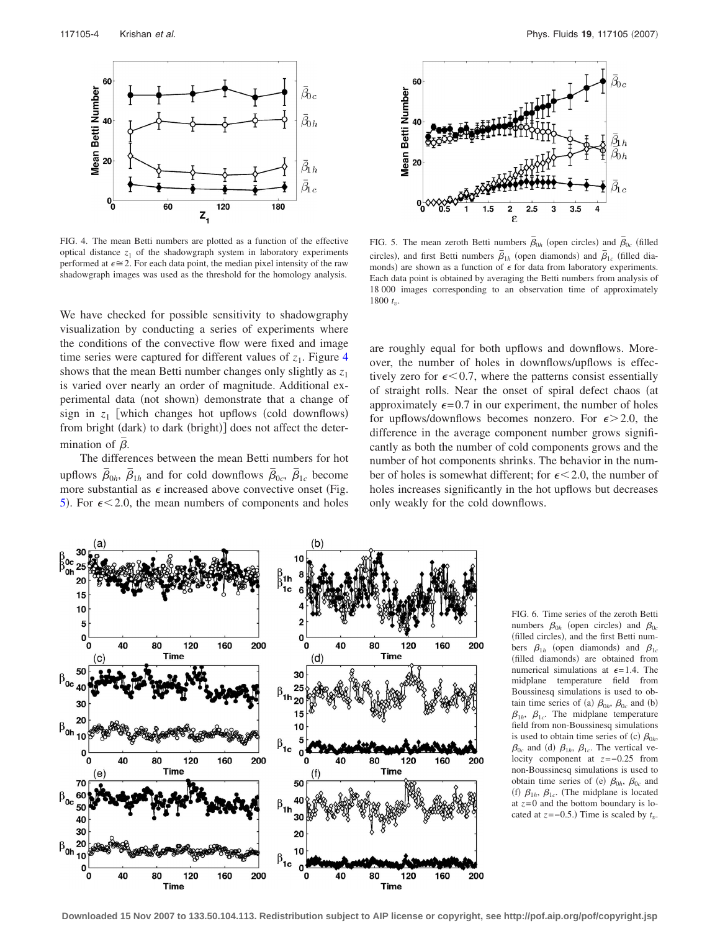<span id="page-3-0"></span>

FIG. 4. The mean Betti numbers are plotted as a function of the effective optical distance  $z_1$  of the shadowgraph system in laboratory experiments performed at  $\epsilon \approx 2$ . For each data point, the median pixel intensity of the raw shadowgraph images was used as the threshold for the homology analysis.

We have checked for possible sensitivity to shadowgraphy visualization by conducting a series of experiments where the conditions of the convective flow were fixed and image time series were captured for different values of  $z_1$ . Figure [4](#page-3-0) shows that the mean Betti number changes only slightly as  $z_1$ is varied over nearly an order of magnitude. Additional experimental data (not shown) demonstrate that a change of sign in  $z_1$  [which changes hot upflows (cold downflows) from bright (dark) to dark (bright)] does not affect the determination of  $\overline{\beta}$ .

The differences between the mean Betti numbers for hot upflows  $\overline{\beta}_{0h}$ ,  $\overline{\beta}_{1h}$  and for cold downflows  $\overline{\beta}_{0c}$ ,  $\overline{\beta}_{1c}$  become more substantial as  $\epsilon$  increased above convective onset (Fig. [5](#page-3-1)). For  $\epsilon$  < 2.0, the mean numbers of components and holes

<span id="page-3-1"></span>

FIG. 5. The mean zeroth Betti numbers  $\bar{\beta}_{0h}$  (open circles) and  $\bar{\beta}_{0c}$  (filled circles), and first Betti numbers  $\bar{\beta}_{1h}$  (open diamonds) and  $\bar{\beta}_{1c}$  (filled diamonds) are shown as a function of  $\epsilon$  for data from laboratory experiments. Each data point is obtained by averaging the Betti numbers from analysis of 18 000 images corresponding to an observation time of approximately  $1800 t_{\dots}$ 

are roughly equal for both upflows and downflows. Moreover, the number of holes in downflows/upflows is effectively zero for  $\epsilon < 0.7$ , where the patterns consist essentially of straight rolls. Near the onset of spiral defect chaos (at approximately  $\epsilon = 0.7$  in our experiment, the number of holes for upflows/downflows becomes nonzero. For  $\epsilon > 2.0$ , the difference in the average component number grows significantly as both the number of cold components grows and the number of hot components shrinks. The behavior in the number of holes is somewhat different; for  $\epsilon < 2.0$ , the number of holes increases significantly in the hot upflows but decreases only weakly for the cold downflows.

<span id="page-3-2"></span>

FIG. 6. Time series of the zeroth Betti numbers  $\beta_{0h}$  (open circles) and  $\beta_{0c}$ (filled circles), and the first Betti numbers  $\beta_{1h}$  (open diamonds) and  $\beta_{1c}$ (filled diamonds) are obtained from numerical simulations at  $\epsilon$ =1.4. The midplane temperature field from Boussinesq simulations is used to obtain time series of (a)  $\beta_{0h}$ ,  $\beta_{0c}$  and (b)  $\beta_{1h}$ ,  $\beta_{1c}$ . The midplane temperature field from non-Boussinesq simulations is used to obtain time series of (c)  $\beta_{0h}$ ,  $\beta_{0c}$  and (d)  $\beta_{1h}$ ,  $\beta_{1c}$ . The vertical velocity component at *z*=−0.25 from non-Boussinesq simulations is used to obtain time series of (e)  $\beta_{0h}$ ,  $\beta_{0c}$  and (f)  $\beta_{1h}$ ,  $\beta_{1c}$ . (The midplane is located at  $z=0$  and the bottom boundary is located at  $z = -0.5$ .) Time is scaled by  $t_v$ .

**Downloaded 15 Nov 2007 to 133.50.104.113. Redistribution subject to AIP license or copyright, see http://pof.aip.org/pof/copyright.jsp**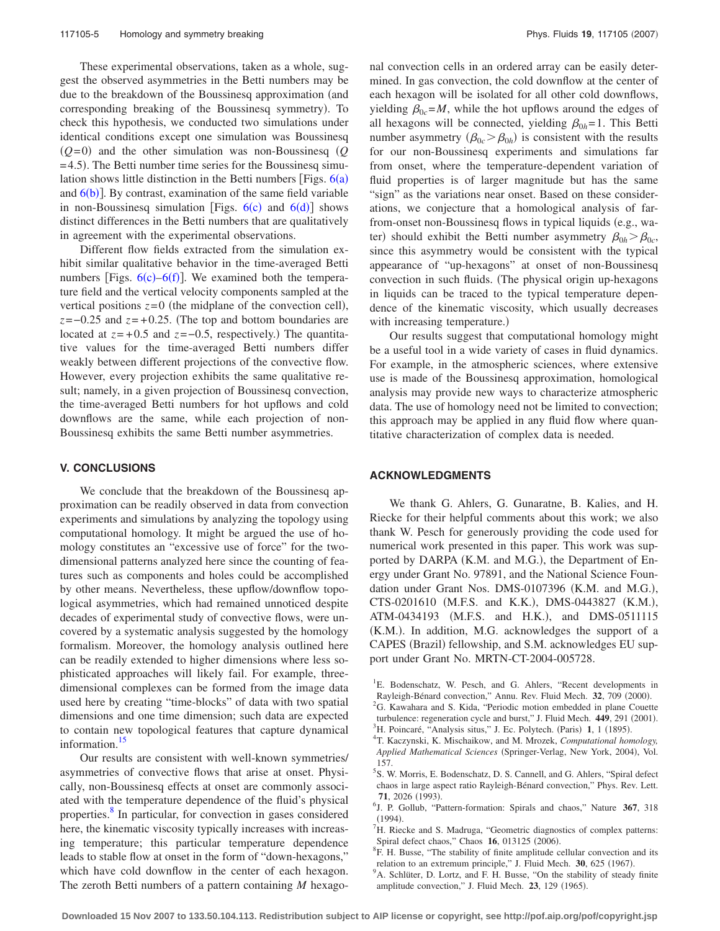These experimental observations, taken as a whole, suggest the observed asymmetries in the Betti numbers may be due to the breakdown of the Boussinesq approximation (and corresponding breaking of the Boussinesq symmetry). To check this hypothesis, we conducted two simulations under identical conditions except one simulation was Boussinesq  $(Q=0)$  and the other simulation was non-Boussinesq  $(Q$ =4.5). The Betti number time series for the Boussinesq simulation shows little distinction in the Betti numbers [Figs.  $6(a)$  $6(a)$ and  $6(b)$  $6(b)$ ]. By contrast, examination of the same field variable in non-Boussinesq simulation [Figs.  $6(c)$  $6(c)$  an[d](#page-3-2)  $6(d)$ ] shows distinct differences in the Betti numbers that are qualitatively in agreement with the experimental observations.

Different flow fields extracted from the simulation exhibit similar qualitative behavior in the time-averaged Betti numbers [Figs.  $6(c) - 6(f)$  $6(c) - 6(f)$ ]. We examined both the temperature field and the vertical velocity components sampled at the vertical positions  $z=0$  (the midplane of the convection cell), *z*=−0.25 and *z*=+0.25. (The top and bottom boundaries are located at  $z=+0.5$  and  $z=-0.5$ , respectively.) The quantitative values for the time-averaged Betti numbers differ weakly between different projections of the convective flow. However, every projection exhibits the same qualitative result; namely, in a given projection of Boussinesq convection, the time-averaged Betti numbers for hot upflows and cold downflows are the same, while each projection of non-Boussinesq exhibits the same Betti number asymmetries.

#### **V. CONCLUSIONS**

We conclude that the breakdown of the Boussinesq approximation can be readily observed in data from convection experiments and simulations by analyzing the topology using computational homology. It might be argued the use of homology constitutes an "excessive use of force" for the twodimensional patterns analyzed here since the counting of features such as components and holes could be accomplished by other means. Nevertheless, these upflow/downflow topological asymmetries, which had remained unnoticed despite decades of experimental study of convective flows, were uncovered by a systematic analysis suggested by the homology formalism. Moreover, the homology analysis outlined here can be readily extended to higher dimensions where less sophisticated approaches will likely fail. For example, threedimensional complexes can be formed from the image data used here by creating "time-blocks" of data with two spatial dimensions and one time dimension; such data are expected to contain new topological features that capture dynamical information.<sup>15</sup>

Our results are consistent with well-known symmetries/ asymmetries of convective flows that arise at onset. Physically, non-Boussinesq effects at onset are commonly associated with the temperature dependence of the fluid's physical properties.<sup>8</sup> In particular, for convection in gases considered here, the kinematic viscosity typically increases with increasing temperature; this particular temperature dependence leads to stable flow at onset in the form of "down-hexagons," which have cold downflow in the center of each hexagon. The zeroth Betti numbers of a pattern containing *M* hexagonal convection cells in an ordered array can be easily determined. In gas convection, the cold downflow at the center of each hexagon will be isolated for all other cold downflows, yielding  $\beta_{0c} = M$ , while the hot upflows around the edges of all hexagons will be connected, yielding  $\beta_{0h}=1$ . This Betti number asymmetry  $(\beta_{0c} > \beta_{0h})$  is consistent with the results for our non-Boussinesq experiments and simulations far from onset, where the temperature-dependent variation of fluid properties is of larger magnitude but has the same "sign" as the variations near onset. Based on these considerations, we conjecture that a homological analysis of farfrom-onset non-Boussinesq flows in typical liquids (e.g., water) should exhibit the Betti number asymmetry  $\beta_{0h} > \beta_{0c}$ , since this asymmetry would be consistent with the typical appearance of "up-hexagons" at onset of non-Boussinesq convection in such fluids. (The physical origin up-hexagons in liquids can be traced to the typical temperature dependence of the kinematic viscosity, which usually decreases with increasing temperature.)

Our results suggest that computational homology might be a useful tool in a wide variety of cases in fluid dynamics. For example, in the atmospheric sciences, where extensive use is made of the Boussinesq approximation, homological analysis may provide new ways to characterize atmospheric data. The use of homology need not be limited to convection; this approach may be applied in any fluid flow where quantitative characterization of complex data is needed.

### **ACKNOWLEDGMENTS**

We thank G. Ahlers, G. Gunaratne, B. Kalies, and H. Riecke for their helpful comments about this work; we also thank W. Pesch for generously providing the code used for numerical work presented in this paper. This work was supported by DARPA (K.M. and M.G.), the Department of Energy under Grant No. 97891, and the National Science Foundation under Grant Nos. DMS-0107396 (K.M. and M.G.), CTS-0201610 (M.F.S. and K.K.), DMS-0443827 (K.M.), ATM-0434193 (M.F.S. and H.K.), and DMS-0511115 (K.M.). In addition, M.G. acknowledges the support of a CAPES (Brazil) fellowship, and S.M. acknowledges EU support under Grant No. MRTN-CT-2004-005728.

<span id="page-4-1"></span><span id="page-4-0"></span><sup>&</sup>lt;sup>1</sup>E. Bodenschatz, W. Pesch, and G. Ahlers, "Recent developments in Rayleigh-Bénard convection," Annu. Rev. Fluid Mech. **32**, 709 (2000).<br><sup>2</sup>G, Kayshara and S. Kida. "Periodia motion ambadded in plane Court.  ${}^{2}$ G. Kawahara and S. Kida, "Periodic motion embedded in plane Couette turbulence: regeneration cycle and burst," J. Fluid Mech.  $449, 291$  (2001).

<span id="page-4-2"></span><sup>&</sup>lt;sup>3</sup>H. Poincaré, "Analysis situs," J. Ec. Polytech. (Paris) 1, 1 (1895).<br><sup>4</sup>T. Keazunski, K. Mischaikow, and M. Mrozek, Computational box

<span id="page-4-3"></span>T. Kaczynski, K. Mischaikow, and M. Mrozek, *Computational homology,* Applied Mathematical Sciences (Springer-Verlag, New York, 2004), Vol. 157.

<span id="page-4-4"></span><sup>5</sup> S. W. Morris, E. Bodenschatz, D. S. Cannell, and G. Ahlers, "Spiral defect chaos in large aspect ratio Rayleigh-Bénard convection," Phys. Rev. Lett. **71**, 2026 (1993).

<span id="page-4-5"></span>J. P. Gollub, "Pattern-formation: Spirals and chaos," Nature **367**, 318  $(1994)$ . <sup>7</sup> H. Riecke and S. Madruga, "Geometric diagnostics of complex patterns:

<span id="page-4-6"></span>Spiral defect chaos," Chaos  $\frac{16}{16}$ , 013125 (2006).

<span id="page-4-7"></span><sup>&</sup>lt;sup>8</sup>F. H. Busse, "The stability of finite amplitude cellular convection and its relation to an extremum principle," J. Fluid Mech. **30**, 625 (1967).

<span id="page-4-8"></span><sup>&</sup>lt;sup>9</sup>A. Schlüter, D. Lortz, and F. H. Busse, "On the stability of steady finite amplitude convection," J. Fluid Mech. 23, 129 (1965).